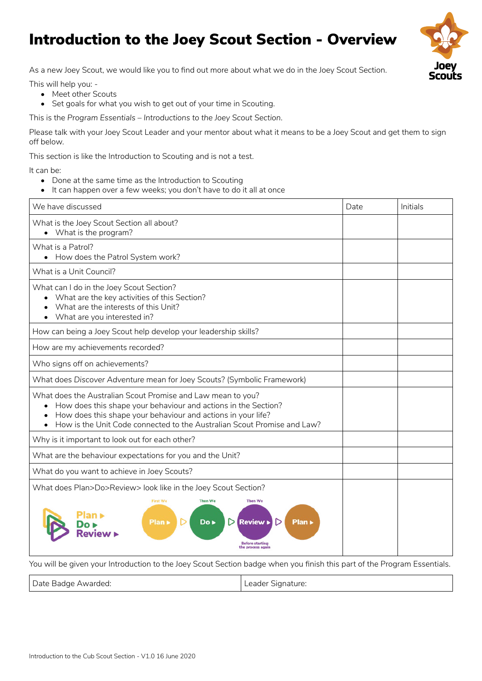## Introduction to the Joey Scout Section - Overview

As a new Joey Scout, we would like you to find out more about what we do in the Joey Scout Section.

This will help you: -

- Meet other Scouts
- Set goals for what you wish to get out of your time in Scouting.

This is the *Program Essentials – Introductions to the Joey Scout Section*.

Please talk with your Joey Scout Leader and your mentor about what it means to be a Joey Scout and get them to sign off below.

This section is like the Introduction to Scouting and is not a test.

It can be:

- Done at the same time as the Introduction to Scouting
- It can happen over a few weeks; you don't have to do it all at once

| We have discussed                                                                                                                                                                                                                                                          | Date | Initials |
|----------------------------------------------------------------------------------------------------------------------------------------------------------------------------------------------------------------------------------------------------------------------------|------|----------|
| What is the Joey Scout Section all about?<br>• What is the program?                                                                                                                                                                                                        |      |          |
| What is a Patrol?<br>How does the Patrol System work?<br>$\bullet$                                                                                                                                                                                                         |      |          |
| What is a Unit Council?                                                                                                                                                                                                                                                    |      |          |
| What can I do in the Joey Scout Section?<br>What are the key activities of this Section?<br>What are the interests of this Unit?<br>What are you interested in?<br>$\bullet$                                                                                               |      |          |
| How can being a Joey Scout help develop your leadership skills?                                                                                                                                                                                                            |      |          |
| How are my achievements recorded?                                                                                                                                                                                                                                          |      |          |
| Who signs off on achievements?                                                                                                                                                                                                                                             |      |          |
| What does Discover Adventure mean for Joey Scouts? (Symbolic Framework)                                                                                                                                                                                                    |      |          |
| What does the Australian Scout Promise and Law mean to you?<br>• How does this shape your behaviour and actions in the Section?<br>How does this shape your behaviour and actions in your life?<br>How is the Unit Code connected to the Australian Scout Promise and Law? |      |          |
| Why is it important to look out for each other?                                                                                                                                                                                                                            |      |          |
| What are the behaviour expectations for you and the Unit?                                                                                                                                                                                                                  |      |          |
| What do you want to achieve in Joey Scouts?                                                                                                                                                                                                                                |      |          |
| What does Plan>Do>Review> look like in the Joey Scout Section?                                                                                                                                                                                                             |      |          |
| First We<br><b>Then We</b><br><b>Then We</b><br>Plan ><br>Do ►<br><b>Review</b><br>Plan »<br>Before startino<br>the process again                                                                                                                                          |      |          |

You will be given your Introduction to the Joey Scout Section badge when you finish this part of the Program Essentials.

| Date Badge Awarded: | Leader Signature: |
|---------------------|-------------------|
|---------------------|-------------------|